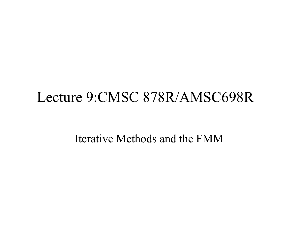#### Lecture 9:CMSC 878R/AMSC698R

Iterative Methods and the FMM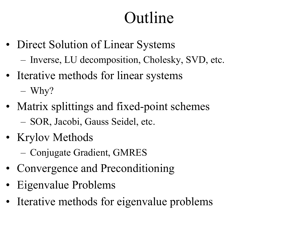### Outline

- Direct Solution of Linear Systems
	- Inverse, LU decomposition, Cholesky, SVD, etc.
- Iterative methods for linear systems Why?
- Matrix splittings and fixed-point schemes SOR, Jacobi, Gauss Seidel, etc.
- Krylov Methods
	- Conjugate Gradient, GMRES
- Convergence and Preconditioning
- Eigenvalue Problems
- Iterative methods for eigenvalue problems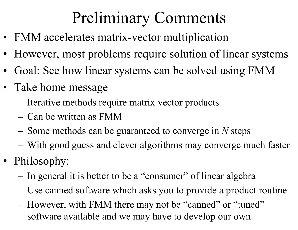# Preliminary Comments

- FMM accelerates matrix-vector multiplication
- $\bullet$ However, most problems require solution of linear systems
- •Goal: See how linear systems can be solved using FMM
- Take home message
	- Iterative methods require matrix vector products
	- Can be written as FMM
	- Some methods can be guaranteed to converge in *N* steps
	- With good guess and clever algorithms may converge much faster
- Philosophy:
	- In general it is better to be a "consumer" of linear algebra
	- Use canned software which asks you to provide a product routine
	- However, with FMM there may not be "canned" or "tuned" software available and we may have to develop our own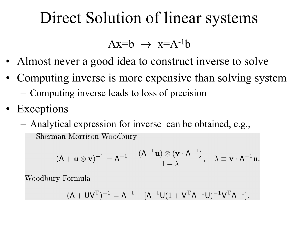### Direct Solution of linear systems

 $Ax=b \rightarrow x=A^{-1}b$ 

- Almost never a good idea to construct inverse to solve
- Computing inverse is more expensive than solving system Computing inverse leads to loss of precision
- Exceptions
	- Analytical expression for inverse can be obtained, e.g.,Sherman Morrison Woodbury

 $(A + \mathbf{u} \otimes \mathbf{v})^{-1} = A^{-1} - \frac{(A^{-1}\mathbf{u}) \otimes (\mathbf{v} \cdot A^{-1})}{1 + \lambda}, \quad \lambda \equiv \mathbf{v} \cdot A^{-1}\mathbf{u}.$ 

Woodbury Formula

$$
(A + UVT)-1 = A-1 - [A-1U(1 + VTA-1U)-1VTA-1].
$$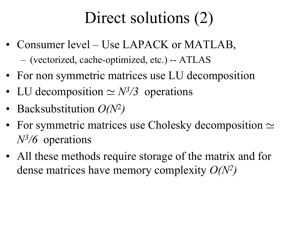### Direct solutions (2)

- Consumer level Use LAPACK or MATLAB, (vectorized, cache-optimized, etc.) -- ATLAS
- For non symmetric matrices use LU decomposition
- LU decomposition  $\simeq N^3/3$  operations
- Backsubstitution *O(N*<sup>2</sup>*)*
- For symmetric matrices use Cholesky decomposition  $\simeq$ *N3/6* operations
- All these methods require storage of the matrix and for dense matrices have memory complexity *O(N2)*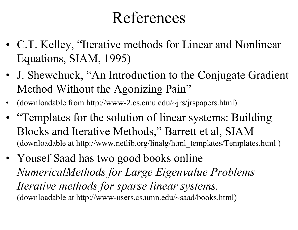### References

- C.T. Kelley, "Iterative methods for Linear and Nonlinear Equations, SIAM, 1995)
- J. Shewchuck, "An Introduction to the Conjugate Gradient Method Without the Agonizing Pain"
- •(downloadable from http://www-2.cs.cmu.edu/~jrs/jrspapers.html)
- • "Templates for the solution of linear systems: Building Blocks and Iterative Methods," Barrett et al, SIAM (downloadable at http://www.netlib.org/linalg/html\_templates/Templates.html )
- Yousef Saad has two good books online *NumericalMethods for Large Eigenvalue Problems Iterative methods for sparse linear systems.* (downloadable at http://www-users.cs.umn.edu/~saad/books.html)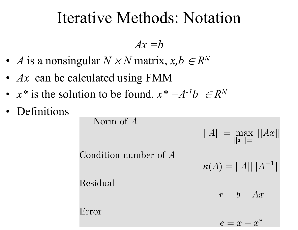#### Iterative Methods: Notation

*Ax =b*

- *A* is a nonsingular *N*  × *N* matrix, *x,b* ∈ *R N*
- *Ax* can be calculated using FMM
- $x^*$  is the solution to be found.  $x^* = A^{-1}b \in R$ *N*
- Definitions

Norm of  $A$  $||A|| = \max_{||x||=1} ||Ax||$ Condition number of A  $\kappa(A) = ||A|| ||A^{-1}||$ Residual  $r = b - Ax$ Error

 $e = x - x^*$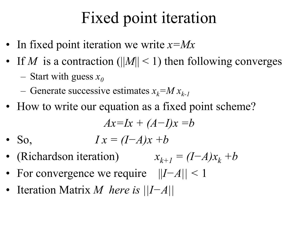### Fixed point iteration

- In fixed point iteration we write *x=Mx*
- If *M* is a contraction (||*M*|| < 1) then following converges Start with guess  $x_0$ 
	- Generate successive estimates  $x_k = M x_{k-1}$
- How to write our equation as a fixed point scheme?

$$
Ax=Ix + (A-I)x = b
$$

 $\bullet$  So,  $I x = (I - A)x + b$ 

- (Richardson iteration)  $x_{k+1} = (I-A)x_k + b$
- For convergence we require || *I−A|| <*  1
- Iteration Matrix *M here is ||I−A||*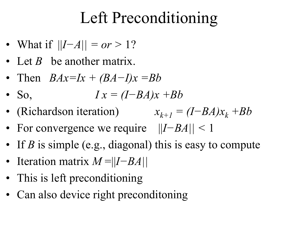### Left Preconditioning

- What if || *I−A|| = or >* 1?
- Let *B* be another matrix.
- Then *BAx=Ix + (BA <sup>−</sup>I)x =Bb*
- $\bullet$  So.  $I x = (I - BA)x + Bb$
- (Richardson iteration)  $x_{k+1} = (I BA)x_k + Bb$
- For convergence we require || *I−BA|| <*  1
- If *B* is simple (e.g., diagonal) this is easy to compute
- Iteration matrix *M* =|| *I−BA||*
- This is left preconditioning
- Can also device right preconditoning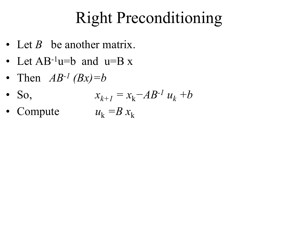### Right Preconditioning

- Let *B* be another matrix.
- Let  $AB^{-1}u=b$  and  $u=Bx$
- •Then  $AB^{-1}(Bx)=b$
- So,  $x_{k+1} = x_k - AB^{-1}u_k + b$
- Compute  $u_{\rm k}$  =B  $x_{\rm k}$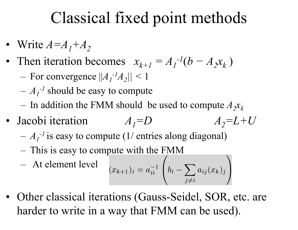### Classical fixed point methods

- Write  $A = A_1 + A_2$
- Then iteration becomes  $x_{k+1} = A_1$ *-1* ( *b*  $- A_2 x_k$ 
	- For convergence  $|A|_I$  $-{}^{l}A_{2}$ || < 1
	- $A$ <sub>1</sub> *-1* should be easy to compute
	- In addition the FMM should be used to compute  $A_2x_k$
- Jacobi iteration  $A_I = D$  *A*  $A_2 = L + U$ 
	- $A_I^{-1}$  is easy to compute (1/ entries along diagonal)
	- This is easy to compute with the FMM

$$
- \text{ At element level } \quad (x_{k+1})_i = a_{ii}^{-1} \left( b_i - \sum_{j \neq i} a_{ij}(x_k)_j \right)
$$

• Other classical iterations (Gauss-Seidel, SOR, etc. are harder to write in a way that FMM can be used).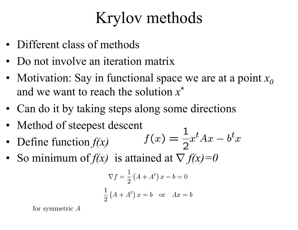### Krylov methods

- Different class of methods
- •Do not involve an iteration matrix
- Motivation: Say in functional space we are at a point *x0*and we want to reach the solution *x*\*
- Can do it by taking steps along some directions
- Method of steepest descent
- Define function *f(x)*
- So minimum of  $f(x)$  is attained at  $\nabla f(x)=0$

$$
\nabla f = \frac{1}{2} \left( A + A^t \right) x - b = 0
$$
  

$$
\frac{1}{2} \left( A + A^t \right) x = b \quad \text{or} \quad Ax = b
$$

for symmetric  $A$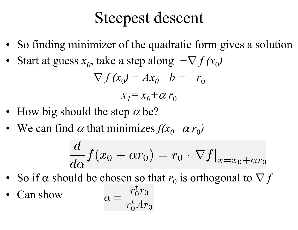#### Steepest descent

- So finding minimizer of the quadratic form gives a solution
- •Start at guess  $x_0$ , take a step along  $-\nabla f(x_0)$

$$
\nabla f(x_0) = Ax_0 - b = -r_0
$$

$$
x_1 = x_0 + \alpha r_0
$$

- How big should the step  $\alpha$  be?
- We can find  $\alpha$  that minimizes  $f(x_0 + \alpha r_0)$

$$
\frac{d}{d\alpha} f(x_0 + \alpha r_0) = r_0 \cdot \nabla f|_{x = x_0 + \alpha r_0}
$$

- So if  $\alpha$  should be chosen so that  $r_0$  is orthogonal to  $\nabla f$
- $\alpha = \frac{r_0^t r_0}{r_0^t A r_0}$  Can show•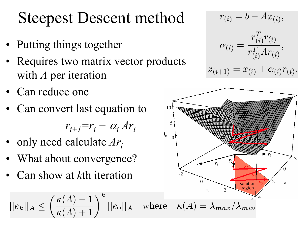### Steepest Descent method

- Putting things together
- • Requires two matrix vector products with *A* per iteration
- •Can reduce one
- •Can convert last equation to

*ri+1=r i−* $-\alpha_i Ar_i$ 

- •only need calculate *Ar i*
- •What about convergence?
- •Can show at *k*th iteration

$$
|e_k||_A \le \left(\frac{\kappa(A) - 1}{\kappa(A) + 1}\right)^k ||e_0||_A \quad \text{where} \quad \kappa(A) = \lambda
$$

 $r_{(i)} = b - Ax_{(i)},$ 

$$
\alpha_{(i)} = \frac{r_{(i)}^T r_{(i)}}{r_{(i)}^T A r_{(i)}},
$$

$$
\alpha_{(i+1)} = x_{(i)} + \alpha_{(i)} r_{(i)}.
$$

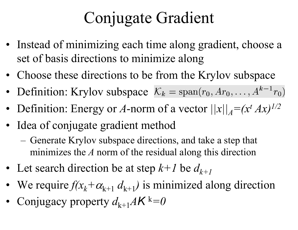## Conjugate Gradient

- Instead of minimizing each time along gradient, choose a set of basis directions to minimize along
- Choose these directions to be from the Krylov subspace
- •Definition: Krylov subspace  $\mathcal{K}_k = \text{span}(r_0, Ar_0, \dots, A^{k-1}r_0)$
- Definition: Energy or A-norm of a vector  $||x||_A = (x^t A x)^{1/2}$
- Idea of conjugate gradient method
	- Generate Krylov subspace directions, and take a step that minimizes the *A* norm of the residual along this direction
- Let search direction be at step  $k+1$  be  $d_{k+1}$
- We require *f(x k* $+\alpha_{k+1} d_{k+1}$  is minimized along direction
- Conjugacy property  $d_{k+1}A\mathcal{K}^k=0$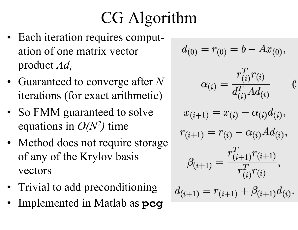# CG Algorithm

- Each iteration requires computation of one matrix vector product *Adi*
- Guaranteed to converge after *N* iterations (for exact arithmetic)
- So FMM guaranteed to solve equations in  $O(N^2)$  time
- Method does not require storage of any of the Krylov basis vectors
- Trivial to add preconditioning
- •Implemented in Matlab as **pcg**

$$
d_{(0)} = r_{(0)} = b - Ax_{(0)},
$$
  
\n
$$
\alpha_{(i)} = \frac{r_{(i)}^T r_{(i)}}{d_{(i)}^T Ad_{(i)}} \qquad (i)
$$
  
\n
$$
x_{(i+1)} = x_{(i)} + \alpha_{(i)} d_{(i)},
$$
  
\n
$$
r_{(i+1)} = r_{(i)} - \alpha_{(i)} Ad_{(i)},
$$
  
\n
$$
\beta_{(i+1)} = \frac{r_{(i+1)}^T r_{(i+1)}}{r_{(i)}^T r_{(i)}},
$$

$$
d_{(i+1)} = r_{(i+1)} + \beta_{(i+1)} d_{(i)}.
$$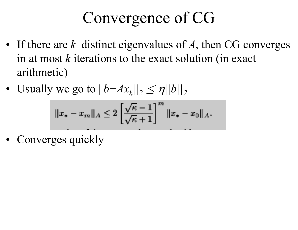## Convergence of CG

- If there are *k* distinct eigenvalues of *A*, then CG converges in at most *k* iterations to the exact solution (in exact arithmetic)
- Usually we go to  $||b Ax_k||_2 \leq \eta ||b||_2$

$$
||x_* - x_m||_A \le 2\left[\frac{\sqrt{\kappa} - 1}{\sqrt{\kappa} + 1}\right]^m ||x_* - x_0||_A.
$$

• Converges quickly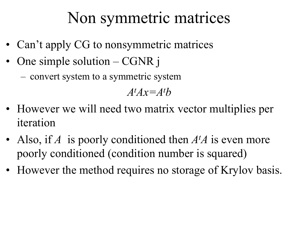### Non symmetric matrices

- Can't apply CG to nonsymmetric matrices
- • One simple solution – CGNR j
	- convert system to a symmetric system

*AtAx=At b*

- However we will need two matrix vector multiplies per iteration
- Also, if *A* is poorly conditioned then *A t A* is even more poorly conditioned (condition number is squared)
- However the method requires no storage of Krylov basis.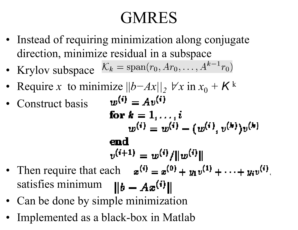## GMRES

- Instead of requiring minimization along conjugate direction, minimize residual in a subspace
- Krylov subspace
- Require *x* to minimize ||*b−Ax||2* ∀ *<sup>x</sup>*in *<sup>x</sup>*<sup>0</sup> *<sup>+</sup>K* <sup>k</sup>
- •Construct basis

$$
w^{(i)} = Av^{(i)}
$$
  
for  $k = 1, ..., i$   

$$
w^{(i)} = w^{(i)} - (w^{(i)}, v^{(k)})v^{(k)}
$$
  
end  

$$
v^{(i+1)} = w^{(i)}/||w^{(i)||}
$$

- Then require that each satisfies minimum
- Can be done by simple minimization
- Implemented as a black-box in Matlab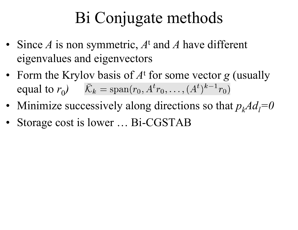### Bi Conjugate methods

- Since *A* is non symmetric, *A* t and *A* have different eigenvalues and eigenvectors
- Form the Krylov basis of *A* t for some vector *g* (usually equal to  $r_0$ )
- Minimize successively along directions so that  $p_k A d_l = 0$
- Storage cost is lower ... Bi-CGSTAB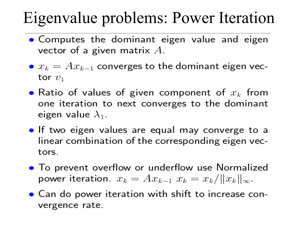### Eigenvalue problems: Power Iteration

- Computes the dominant eigen value and eigen vector of a given matrix  $A$ .
- $\bullet x_k = Ax_{k-1}$  converges to the dominant eigen vector  $v_1$
- Ratio of values of given component of  $x_k$  from one iteration to next converges to the dominant eigen value  $\lambda_1$ .
- If two eigen values are equal may converge to a linear combination of the corresponding eigen vectors.
- To prevent overflow or underflow use Normalized power iteration.  $x_k = Ax_{k-1}$   $x_k = x_k / ||x_k||_{\infty}$ .
- Can do power iteration with shift to increase convergence rate.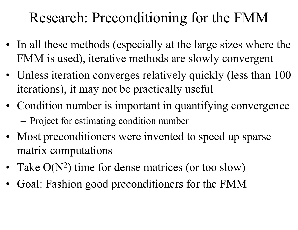#### Research: Preconditioning for the FMM

- In all these methods (especially at the large sizes where the FMM is used), iterative methods are slowly convergent
- Unless iteration converges relatively quickly (less than 100 iterations), it may not be practically useful
- Condition number is important in quantifying convergence Project for estimating condition number
- Most preconditioners were invented to speed up sparse matrix computations
- Take O(N<sup>2</sup>) time for dense matrices (or too slow)
- Goal: Fashion good preconditioners for the FMM